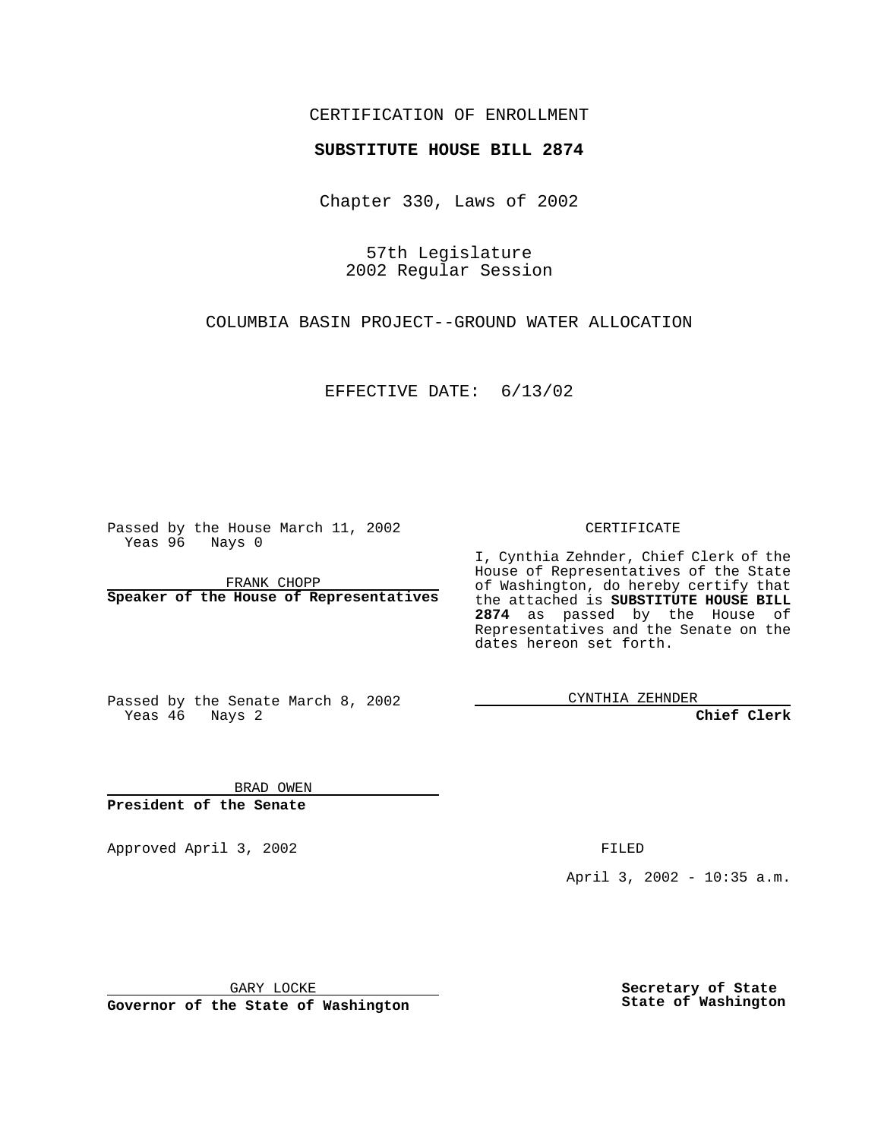## CERTIFICATION OF ENROLLMENT

## **SUBSTITUTE HOUSE BILL 2874**

Chapter 330, Laws of 2002

57th Legislature 2002 Regular Session

COLUMBIA BASIN PROJECT--GROUND WATER ALLOCATION

EFFECTIVE DATE: 6/13/02

Passed by the House March 11, 2002 Yeas 96 Nays 0

FRANK CHOPP **Speaker of the House of Representatives** CERTIFICATE

I, Cynthia Zehnder, Chief Clerk of the House of Representatives of the State of Washington, do hereby certify that the attached is **SUBSTITUTE HOUSE BILL 2874** as passed by the House of Representatives and the Senate on the dates hereon set forth.

Passed by the Senate March 8, 2002 Yeas 46 Nays 2

CYNTHIA ZEHNDER

**Chief Clerk**

BRAD OWEN **President of the Senate**

Approved April 3, 2002 **FILED** 

April 3, 2002 - 10:35 a.m.

GARY LOCKE

**Governor of the State of Washington**

**Secretary of State State of Washington**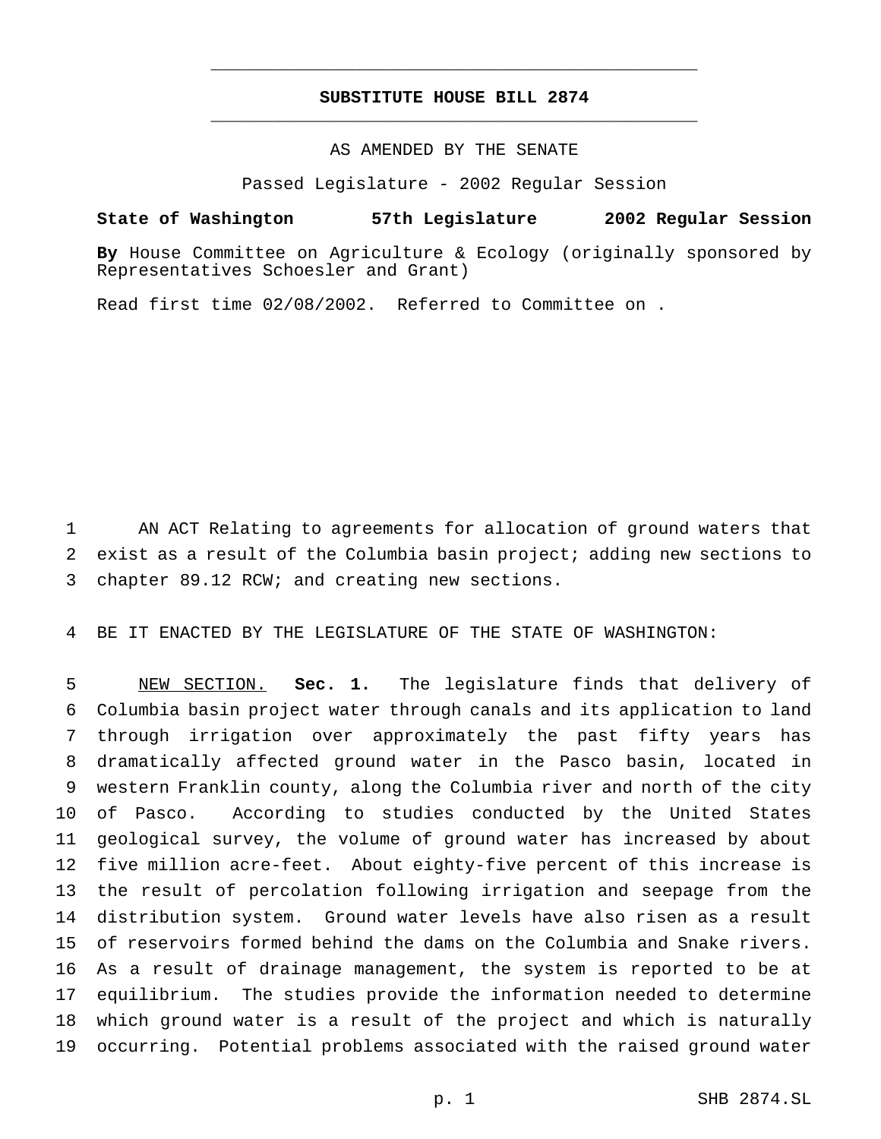## **SUBSTITUTE HOUSE BILL 2874** \_\_\_\_\_\_\_\_\_\_\_\_\_\_\_\_\_\_\_\_\_\_\_\_\_\_\_\_\_\_\_\_\_\_\_\_\_\_\_\_\_\_\_\_\_\_\_

\_\_\_\_\_\_\_\_\_\_\_\_\_\_\_\_\_\_\_\_\_\_\_\_\_\_\_\_\_\_\_\_\_\_\_\_\_\_\_\_\_\_\_\_\_\_\_

AS AMENDED BY THE SENATE

Passed Legislature - 2002 Regular Session

**State of Washington 57th Legislature 2002 Regular Session**

**By** House Committee on Agriculture & Ecology (originally sponsored by Representatives Schoesler and Grant)

Read first time 02/08/2002. Referred to Committee on .

 AN ACT Relating to agreements for allocation of ground waters that exist as a result of the Columbia basin project; adding new sections to chapter 89.12 RCW; and creating new sections.

BE IT ENACTED BY THE LEGISLATURE OF THE STATE OF WASHINGTON:

 NEW SECTION. **Sec. 1.** The legislature finds that delivery of Columbia basin project water through canals and its application to land through irrigation over approximately the past fifty years has dramatically affected ground water in the Pasco basin, located in western Franklin county, along the Columbia river and north of the city of Pasco. According to studies conducted by the United States geological survey, the volume of ground water has increased by about five million acre-feet. About eighty-five percent of this increase is the result of percolation following irrigation and seepage from the distribution system. Ground water levels have also risen as a result of reservoirs formed behind the dams on the Columbia and Snake rivers. As a result of drainage management, the system is reported to be at equilibrium. The studies provide the information needed to determine which ground water is a result of the project and which is naturally occurring. Potential problems associated with the raised ground water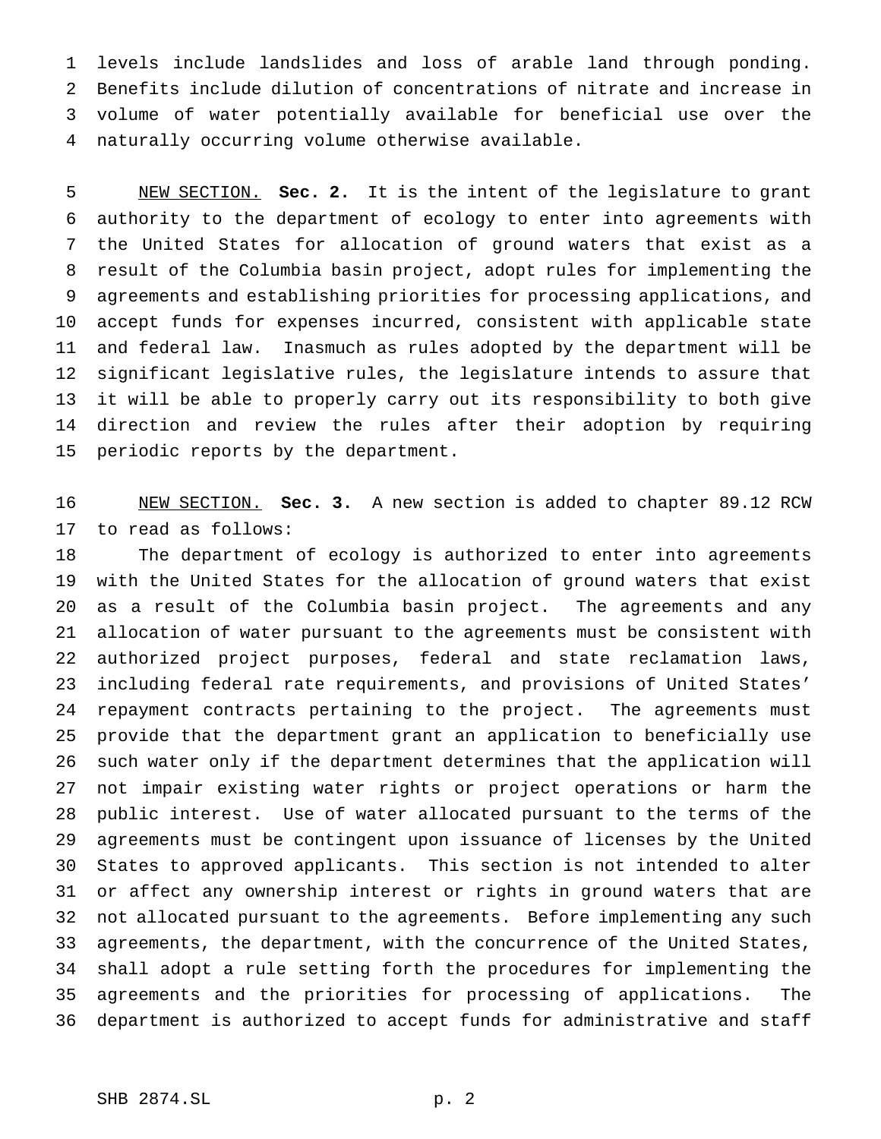levels include landslides and loss of arable land through ponding. Benefits include dilution of concentrations of nitrate and increase in volume of water potentially available for beneficial use over the naturally occurring volume otherwise available.

 NEW SECTION. **Sec. 2.** It is the intent of the legislature to grant authority to the department of ecology to enter into agreements with the United States for allocation of ground waters that exist as a result of the Columbia basin project, adopt rules for implementing the agreements and establishing priorities for processing applications, and accept funds for expenses incurred, consistent with applicable state and federal law. Inasmuch as rules adopted by the department will be significant legislative rules, the legislature intends to assure that it will be able to properly carry out its responsibility to both give direction and review the rules after their adoption by requiring periodic reports by the department.

 NEW SECTION. **Sec. 3.** A new section is added to chapter 89.12 RCW to read as follows:

 The department of ecology is authorized to enter into agreements with the United States for the allocation of ground waters that exist as a result of the Columbia basin project. The agreements and any allocation of water pursuant to the agreements must be consistent with authorized project purposes, federal and state reclamation laws, including federal rate requirements, and provisions of United States' repayment contracts pertaining to the project. The agreements must provide that the department grant an application to beneficially use such water only if the department determines that the application will not impair existing water rights or project operations or harm the public interest. Use of water allocated pursuant to the terms of the agreements must be contingent upon issuance of licenses by the United States to approved applicants. This section is not intended to alter or affect any ownership interest or rights in ground waters that are not allocated pursuant to the agreements. Before implementing any such agreements, the department, with the concurrence of the United States, shall adopt a rule setting forth the procedures for implementing the agreements and the priorities for processing of applications. The department is authorized to accept funds for administrative and staff